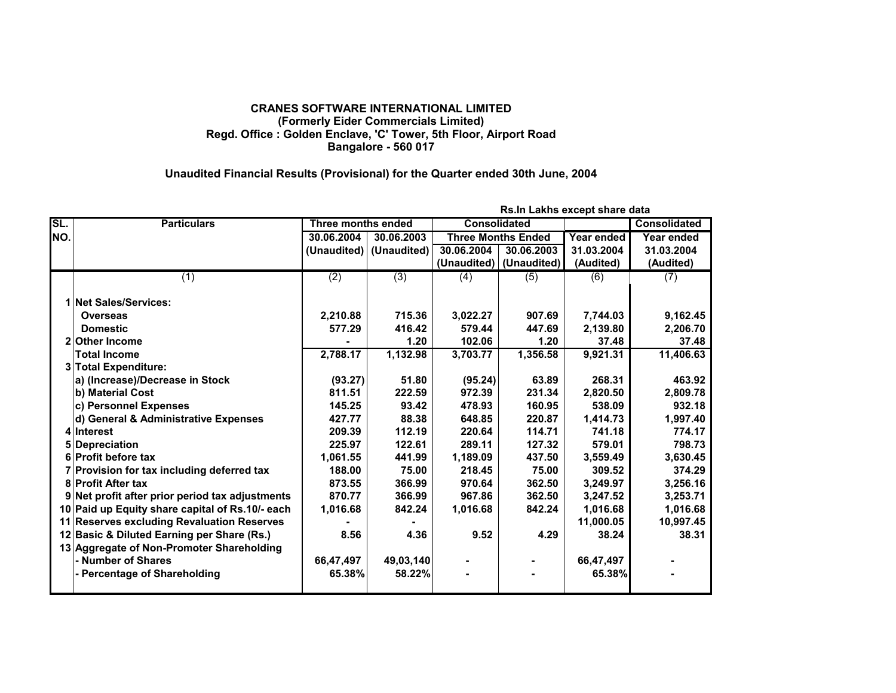## **CRANES SOFTWARE INTERNATIONAL LIMITED (Formerly Eider Commercials Limited) Regd. Office : Golden Enclave, 'C' Tower, 5th Floor, Airport Road Bangalore - 560 017**

## **Unaudited Financial Results (Provisional) for the Quarter ended 30th June, 2004**

|     | Rs.In Lakhs except share data                   |                           |                           |                     |                           |            |              |
|-----|-------------------------------------------------|---------------------------|---------------------------|---------------------|---------------------------|------------|--------------|
| SL. | <b>Particulars</b>                              | <b>Three months ended</b> |                           | <b>Consolidated</b> |                           |            | Consolidated |
| NO. |                                                 | 30.06.2004                | 30.06.2003                |                     | <b>Three Months Ended</b> | Year ended | Year ended   |
|     |                                                 |                           | (Unaudited)   (Unaudited) | 30.06.2004          | 30.06.2003                | 31.03.2004 | 31.03.2004   |
|     |                                                 |                           |                           |                     | (Unaudited)   (Unaudited) | (Audited)  | (Audited)    |
|     | (1)                                             | (2)                       | (3)                       | (4)                 | (5)                       | (6)        | (7)          |
|     |                                                 |                           |                           |                     |                           |            |              |
|     | 1 Net Sales/Services:                           |                           |                           |                     |                           |            |              |
|     | <b>Overseas</b>                                 | 2,210.88                  | 715.36                    | 3,022.27            | 907.69                    | 7,744.03   | 9,162.45     |
|     | <b>Domestic</b>                                 | 577.29                    | 416.42                    | 579.44              | 447.69                    | 2,139.80   | 2,206.70     |
|     | <b>Other Income</b>                             |                           | 1.20                      | 102.06              | 1.20                      | 37.48      | 37.48        |
|     | <b>Total Income</b>                             | 2,788.17                  | 1,132.98                  | 3,703.77            | 1,356.58                  | 9,921.31   | 11,406.63    |
|     | <b>Total Expenditure:</b>                       |                           |                           |                     |                           |            |              |
|     | a) (Increase)/Decrease in Stock                 | (93.27)                   | 51.80                     | (95.24)             | 63.89                     | 268.31     | 463.92       |
|     | b) Material Cost                                | 811.51                    | 222.59                    | 972.39              | 231.34                    | 2,820.50   | 2,809.78     |
|     | c) Personnel Expenses                           | 145.25                    | 93.42                     | 478.93              | 160.95                    | 538.09     | 932.18       |
|     | d) General & Administrative Expenses            | 427.77                    | 88.38                     | 648.85              | 220.87                    | 1,414.73   | 1,997.40     |
|     | 4 Interest                                      | 209.39                    | 112.19                    | 220.64              | 114.71                    | 741.18     | 774.17       |
|     | <b>Depreciation</b>                             | 225.97                    | 122.61                    | 289.11              | 127.32                    | 579.01     | 798.73       |
|     | 6 Profit before tax                             | 1,061.55                  | 441.99                    | 1,189.09            | 437.50                    | 3,559.49   | 3,630.45     |
|     | 7 Provision for tax including deferred tax      | 188.00                    | 75.00                     | 218.45              | 75.00                     | 309.52     | 374.29       |
|     | <b>8 Profit After tax</b>                       | 873.55                    | 366.99                    | 970.64              | 362.50                    | 3,249.97   | 3,256.16     |
|     | 9 Net profit after prior period tax adjustments | 870.77                    | 366.99                    | 967.86              | 362.50                    | 3.247.52   | 3,253.71     |
|     | 10 Paid up Equity share capital of Rs.10/- each | 1,016.68                  | 842.24                    | 1,016.68            | 842.24                    | 1,016.68   | 1,016.68     |
|     | 11 Reserves excluding Revaluation Reserves      |                           |                           |                     |                           | 11,000.05  | 10,997.45    |
|     | 12 Basic & Diluted Earning per Share (Rs.)      | 8.56                      | 4.36                      | 9.52                | 4.29                      | 38.24      | 38.31        |
|     | 13 Aggregate of Non-Promoter Shareholding       |                           |                           |                     |                           |            |              |
|     | - Number of Shares                              | 66,47,497                 | 49,03,140                 |                     |                           | 66,47,497  |              |
|     | - Percentage of Shareholding                    | 65.38%                    | 58.22%                    |                     |                           | 65.38%     |              |
|     |                                                 |                           |                           |                     |                           |            |              |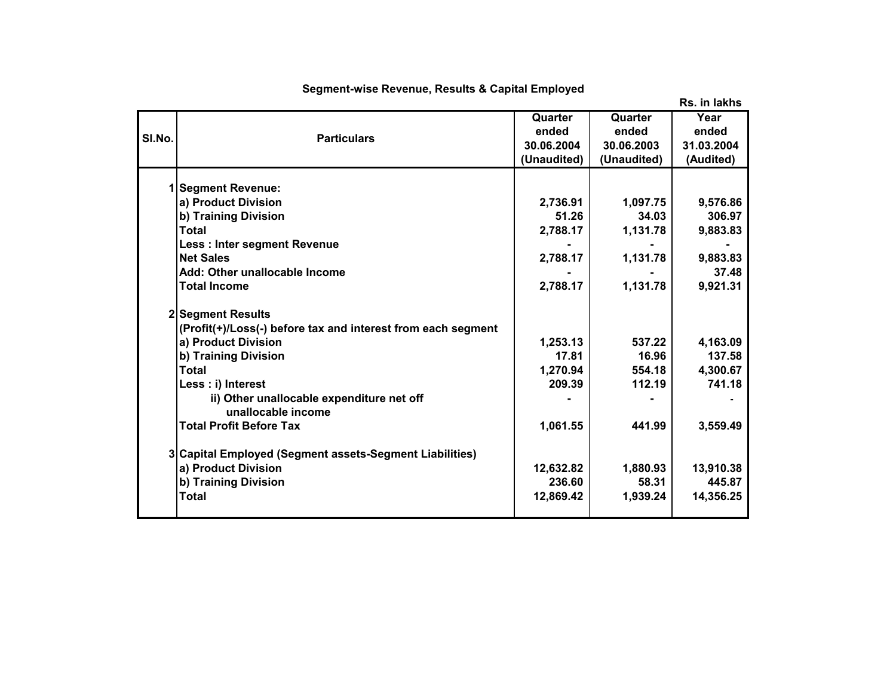|        |                                                              |             |             | Rs. in lakhs |
|--------|--------------------------------------------------------------|-------------|-------------|--------------|
|        |                                                              | Quarter     | Quarter     | Year         |
| SI.No. | <b>Particulars</b>                                           | ended       | ended       | ended        |
|        |                                                              | 30.06.2004  | 30.06.2003  | 31.03.2004   |
|        |                                                              | (Unaudited) | (Unaudited) | (Audited)    |
|        |                                                              |             |             |              |
|        | 1 Segment Revenue:                                           |             |             |              |
|        | a) Product Division                                          | 2,736.91    | 1,097.75    | 9,576.86     |
|        | b) Training Division                                         | 51.26       | 34.03       | 306.97       |
|        | Total                                                        | 2,788.17    | 1,131.78    | 9,883.83     |
|        | Less : Inter segment Revenue                                 |             |             |              |
|        | <b>Net Sales</b>                                             | 2,788.17    | 1,131.78    | 9,883.83     |
|        | Add: Other unallocable Income                                |             |             | 37.48        |
|        | <b>Total Income</b>                                          | 2,788.17    | 1,131.78    | 9,921.31     |
|        | 2 Segment Results                                            |             |             |              |
|        | (Profit(+)/Loss(-) before tax and interest from each segment |             |             |              |
|        | a) Product Division                                          | 1,253.13    | 537.22      | 4,163.09     |
|        | b) Training Division                                         | 17.81       | 16.96       | 137.58       |
|        | <b>Total</b>                                                 | 1,270.94    | 554.18      | 4,300.67     |
|        | Less : i) Interest                                           | 209.39      | 112.19      | 741.18       |
|        | ii) Other unallocable expenditure net off                    |             |             |              |
|        | unallocable income                                           |             |             |              |
|        | <b>Total Profit Before Tax</b>                               | 1,061.55    | 441.99      | 3,559.49     |
|        | 3 Capital Employed (Segment assets-Segment Liabilities)      |             |             |              |
|        | a) Product Division                                          | 12,632.82   | 1,880.93    | 13,910.38    |
|        | b) Training Division                                         | 236.60      | 58.31       | 445.87       |
|        | <b>Total</b>                                                 | 12,869.42   | 1,939.24    | 14,356.25    |
|        |                                                              |             |             |              |
|        |                                                              |             |             |              |

## **Segment-wise Revenue, Results & Capital Employed**